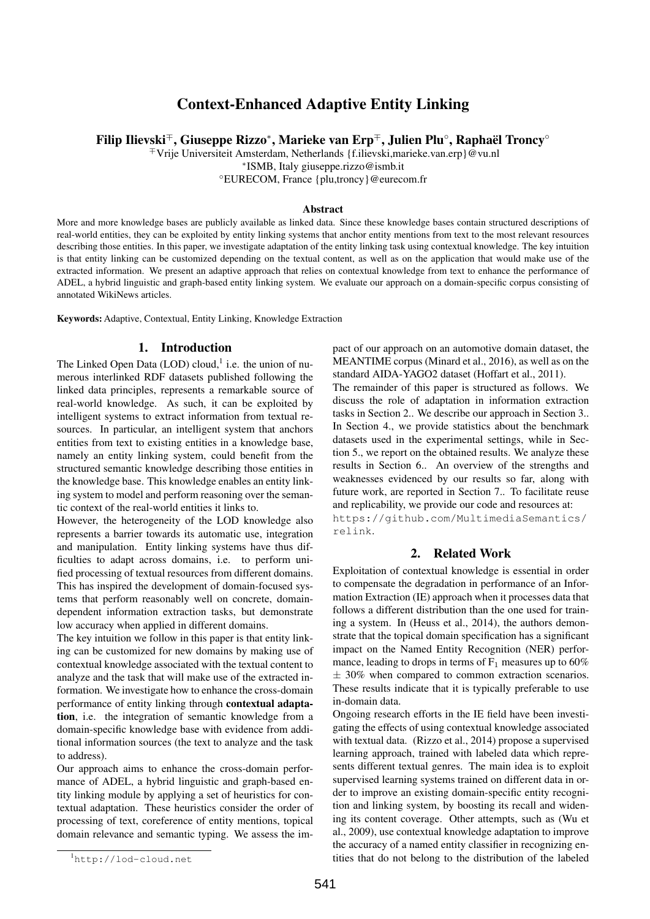# Context-Enhanced Adaptive Entity Linking

Filip Ilievski<sup>∓</sup>, Giuseppe Rizzo\*, Marieke van Erp<sup>∓</sup>, Julien Plu°, Raphaël Troncy°

<sup>∓</sup>Vrije Universiteit Amsterdam, Netherlands {f.ilievski,marieke.van.erp}@vu.nl

∗ ISMB, Italy giuseppe.rizzo@ismb.it

◦EURECOM, France {plu,troncy}@eurecom.fr

## Abstract

More and more knowledge bases are publicly available as linked data. Since these knowledge bases contain structured descriptions of real-world entities, they can be exploited by entity linking systems that anchor entity mentions from text to the most relevant resources describing those entities. In this paper, we investigate adaptation of the entity linking task using contextual knowledge. The key intuition is that entity linking can be customized depending on the textual content, as well as on the application that would make use of the extracted information. We present an adaptive approach that relies on contextual knowledge from text to enhance the performance of ADEL, a hybrid linguistic and graph-based entity linking system. We evaluate our approach on a domain-specific corpus consisting of annotated WikiNews articles.

Keywords: Adaptive, Contextual, Entity Linking, Knowledge Extraction

## 1. Introduction

The Linked Open Data  $(LOD)$  cloud,<sup>1</sup> i.e. the union of numerous interlinked RDF datasets published following the linked data principles, represents a remarkable source of real-world knowledge. As such, it can be exploited by intelligent systems to extract information from textual resources. In particular, an intelligent system that anchors entities from text to existing entities in a knowledge base, namely an entity linking system, could benefit from the structured semantic knowledge describing those entities in the knowledge base. This knowledge enables an entity linking system to model and perform reasoning over the semantic context of the real-world entities it links to.

However, the heterogeneity of the LOD knowledge also represents a barrier towards its automatic use, integration and manipulation. Entity linking systems have thus difficulties to adapt across domains, i.e. to perform unified processing of textual resources from different domains. This has inspired the development of domain-focused systems that perform reasonably well on concrete, domaindependent information extraction tasks, but demonstrate low accuracy when applied in different domains.

The key intuition we follow in this paper is that entity linking can be customized for new domains by making use of contextual knowledge associated with the textual content to analyze and the task that will make use of the extracted information. We investigate how to enhance the cross-domain performance of entity linking through contextual adaptation, i.e. the integration of semantic knowledge from a domain-specific knowledge base with evidence from additional information sources (the text to analyze and the task to address).

Our approach aims to enhance the cross-domain performance of ADEL, a hybrid linguistic and graph-based entity linking module by applying a set of heuristics for contextual adaptation. These heuristics consider the order of processing of text, coreference of entity mentions, topical domain relevance and semantic typing. We assess the impact of our approach on an automotive domain dataset, the MEANTIME corpus (Minard et al., 2016), as well as on the standard AIDA-YAGO2 dataset (Hoffart et al., 2011).

The remainder of this paper is structured as follows. We discuss the role of adaptation in information extraction tasks in Section 2.. We describe our approach in Section 3.. In Section 4., we provide statistics about the benchmark datasets used in the experimental settings, while in Section 5., we report on the obtained results. We analyze these results in Section 6.. An overview of the strengths and weaknesses evidenced by our results so far, along with future work, are reported in Section 7.. To facilitate reuse and replicability, we provide our code and resources at: https://github.com/MultimediaSemantics/

# relink.

# 2. Related Work

Exploitation of contextual knowledge is essential in order to compensate the degradation in performance of an Information Extraction (IE) approach when it processes data that follows a different distribution than the one used for training a system. In (Heuss et al., 2014), the authors demonstrate that the topical domain specification has a significant impact on the Named Entity Recognition (NER) performance, leading to drops in terms of  $F_1$  measures up to 60%  $\pm$  30% when compared to common extraction scenarios. These results indicate that it is typically preferable to use in-domain data.

Ongoing research efforts in the IE field have been investigating the effects of using contextual knowledge associated with textual data. (Rizzo et al., 2014) propose a supervised learning approach, trained with labeled data which represents different textual genres. The main idea is to exploit supervised learning systems trained on different data in order to improve an existing domain-specific entity recognition and linking system, by boosting its recall and widening its content coverage. Other attempts, such as (Wu et al., 2009), use contextual knowledge adaptation to improve the accuracy of a named entity classifier in recognizing entities that do not belong to the distribution of the labeled

<sup>1</sup>http://lod-cloud.net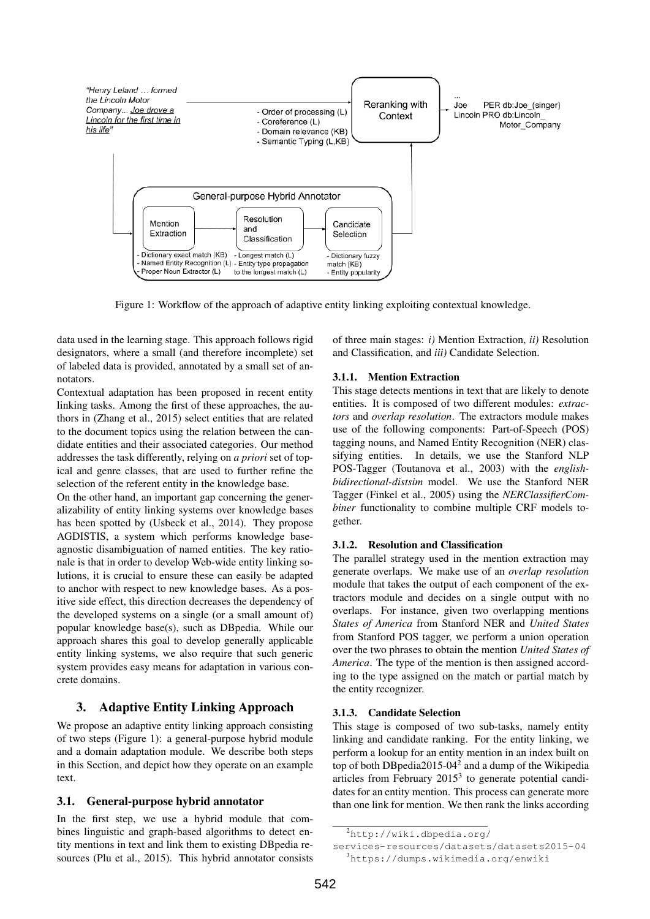

Figure 1: Workflow of the approach of adaptive entity linking exploiting contextual knowledge.

data used in the learning stage. This approach follows rigid designators, where a small (and therefore incomplete) set of labeled data is provided, annotated by a small set of annotators.

Contextual adaptation has been proposed in recent entity linking tasks. Among the first of these approaches, the authors in (Zhang et al., 2015) select entities that are related to the document topics using the relation between the candidate entities and their associated categories. Our method addresses the task differently, relying on *a priori* set of topical and genre classes, that are used to further refine the selection of the referent entity in the knowledge base.

On the other hand, an important gap concerning the generalizability of entity linking systems over knowledge bases has been spotted by (Usbeck et al., 2014). They propose AGDISTIS, a system which performs knowledge baseagnostic disambiguation of named entities. The key rationale is that in order to develop Web-wide entity linking solutions, it is crucial to ensure these can easily be adapted to anchor with respect to new knowledge bases. As a positive side effect, this direction decreases the dependency of the developed systems on a single (or a small amount of) popular knowledge base(s), such as DBpedia. While our approach shares this goal to develop generally applicable entity linking systems, we also require that such generic system provides easy means for adaptation in various concrete domains.

# 3. Adaptive Entity Linking Approach

We propose an adaptive entity linking approach consisting of two steps (Figure 1): a general-purpose hybrid module and a domain adaptation module. We describe both steps in this Section, and depict how they operate on an example text.

# 3.1. General-purpose hybrid annotator

In the first step, we use a hybrid module that combines linguistic and graph-based algorithms to detect entity mentions in text and link them to existing DBpedia resources (Plu et al., 2015). This hybrid annotator consists of three main stages: *i)* Mention Extraction, *ii)* Resolution and Classification, and *iii)* Candidate Selection.

# 3.1.1. Mention Extraction

This stage detects mentions in text that are likely to denote entities. It is composed of two different modules: *extractors* and *overlap resolution*. The extractors module makes use of the following components: Part-of-Speech (POS) tagging nouns, and Named Entity Recognition (NER) classifying entities. In details, we use the Stanford NLP POS-Tagger (Toutanova et al., 2003) with the *englishbidirectional-distsim* model. We use the Stanford NER Tagger (Finkel et al., 2005) using the *NERClassifierCombiner* functionality to combine multiple CRF models together.

#### 3.1.2. Resolution and Classification

The parallel strategy used in the mention extraction may generate overlaps. We make use of an *overlap resolution* module that takes the output of each component of the extractors module and decides on a single output with no overlaps. For instance, given two overlapping mentions *States of America* from Stanford NER and *United States* from Stanford POS tagger, we perform a union operation over the two phrases to obtain the mention *United States of America*. The type of the mention is then assigned according to the type assigned on the match or partial match by the entity recognizer.

#### 3.1.3. Candidate Selection

This stage is composed of two sub-tasks, namely entity linking and candidate ranking. For the entity linking, we perform a lookup for an entity mention in an index built on top of both DB pedia  $2015 - 04^2$  and a dump of the Wikipedia articles from February  $2015^3$  to generate potential candidates for an entity mention. This process can generate more than one link for mention. We then rank the links according

<sup>2</sup>http://wiki.dbpedia.org/

services-resources/datasets/datasets2015-04 <sup>3</sup>https://dumps.wikimedia.org/enwiki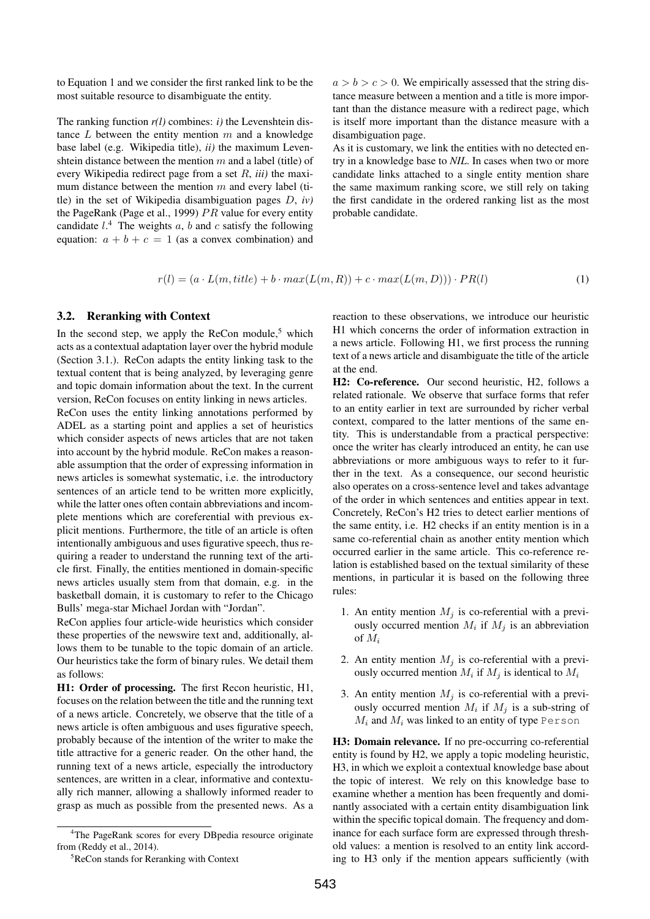to Equation 1 and we consider the first ranked link to be the most suitable resource to disambiguate the entity.

The ranking function  $r(l)$  combines: *i*) the Levenshtein distance  $L$  between the entity mention  $m$  and a knowledge base label (e.g. Wikipedia title), *ii)* the maximum Levenshtein distance between the mention  $m$  and a label (title) of every Wikipedia redirect page from a set R, *iii)* the maximum distance between the mention  $m$  and every label (title) in the set of Wikipedia disambiguation pages D, *iv)* the PageRank (Page et al., 1999)  $PR$  value for every entity candidate  $l^4$ . The weights a, b and c satisfy the following equation:  $a + b + c = 1$  (as a convex combination) and

 $a > b > c > 0$ . We empirically assessed that the string distance measure between a mention and a title is more important than the distance measure with a redirect page, which is itself more important than the distance measure with a disambiguation page.

As it is customary, we link the entities with no detected entry in a knowledge base to *NIL*. In cases when two or more candidate links attached to a single entity mention share the same maximum ranking score, we still rely on taking the first candidate in the ordered ranking list as the most probable candidate.

$$
r(l) = (a \cdot L(m, title) + b \cdot max(L(m, R)) + c \cdot max(L(m, D))) \cdot PR(l)
$$
\n
$$
(1)
$$

## 3.2. Reranking with Context

In the second step, we apply the ReCon module,<sup>5</sup> which acts as a contextual adaptation layer over the hybrid module (Section 3.1.). ReCon adapts the entity linking task to the textual content that is being analyzed, by leveraging genre and topic domain information about the text. In the current version, ReCon focuses on entity linking in news articles.

ReCon uses the entity linking annotations performed by ADEL as a starting point and applies a set of heuristics which consider aspects of news articles that are not taken into account by the hybrid module. ReCon makes a reasonable assumption that the order of expressing information in news articles is somewhat systematic, i.e. the introductory sentences of an article tend to be written more explicitly, while the latter ones often contain abbreviations and incomplete mentions which are coreferential with previous explicit mentions. Furthermore, the title of an article is often intentionally ambiguous and uses figurative speech, thus requiring a reader to understand the running text of the article first. Finally, the entities mentioned in domain-specific news articles usually stem from that domain, e.g. in the basketball domain, it is customary to refer to the Chicago Bulls' mega-star Michael Jordan with "Jordan".

ReCon applies four article-wide heuristics which consider these properties of the newswire text and, additionally, allows them to be tunable to the topic domain of an article. Our heuristics take the form of binary rules. We detail them as follows:

H1: Order of processing. The first Recon heuristic, H1, focuses on the relation between the title and the running text of a news article. Concretely, we observe that the title of a news article is often ambiguous and uses figurative speech, probably because of the intention of the writer to make the title attractive for a generic reader. On the other hand, the running text of a news article, especially the introductory sentences, are written in a clear, informative and contextually rich manner, allowing a shallowly informed reader to grasp as much as possible from the presented news. As a

reaction to these observations, we introduce our heuristic H1 which concerns the order of information extraction in a news article. Following H1, we first process the running text of a news article and disambiguate the title of the article at the end.

H2: Co-reference. Our second heuristic, H2, follows a related rationale. We observe that surface forms that refer to an entity earlier in text are surrounded by richer verbal context, compared to the latter mentions of the same entity. This is understandable from a practical perspective: once the writer has clearly introduced an entity, he can use abbreviations or more ambiguous ways to refer to it further in the text. As a consequence, our second heuristic also operates on a cross-sentence level and takes advantage of the order in which sentences and entities appear in text. Concretely, ReCon's H2 tries to detect earlier mentions of the same entity, i.e. H2 checks if an entity mention is in a same co-referential chain as another entity mention which occurred earlier in the same article. This co-reference relation is established based on the textual similarity of these mentions, in particular it is based on the following three rules:

- 1. An entity mention  $M_j$  is co-referential with a previously occurred mention  $M_i$  if  $M_j$  is an abbreviation of  $M_i$
- 2. An entity mention  $M_i$  is co-referential with a previously occurred mention  $M_i$  if  $M_j$  is identical to  $M_i$
- 3. An entity mention  $M_j$  is co-referential with a previously occurred mention  $M_i$  if  $M_j$  is a sub-string of  $M_i$  and  $M_i$  was linked to an entity of type Person

H3: Domain relevance. If no pre-occurring co-referential entity is found by H2, we apply a topic modeling heuristic, H3, in which we exploit a contextual knowledge base about the topic of interest. We rely on this knowledge base to examine whether a mention has been frequently and dominantly associated with a certain entity disambiguation link within the specific topical domain. The frequency and dominance for each surface form are expressed through threshold values: a mention is resolved to an entity link according to H3 only if the mention appears sufficiently (with

<sup>&</sup>lt;sup>4</sup>The PageRank scores for every DBpedia resource originate from (Reddy et al., 2014).

<sup>5</sup>ReCon stands for Reranking with Context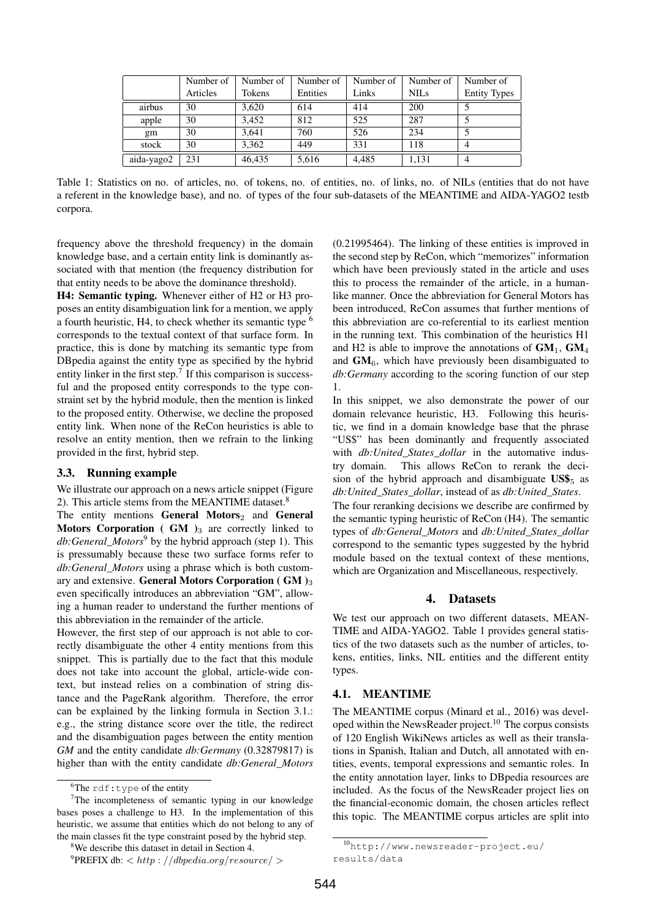|            | Number of | Number of | Number of | Number of | Number of   | Number of           |
|------------|-----------|-----------|-----------|-----------|-------------|---------------------|
|            | Articles  | Tokens    | Entities  | Links     | <b>NILS</b> | <b>Entity Types</b> |
| airbus     | 30        | 3.620     | 614       | 414       | 200         |                     |
| apple      | 30        | 3.452     | 812       | 525       | 287         |                     |
| gm         | 30        | 3.641     | 760       | 526       | 234         |                     |
| stock      | 30        | 3.362     | 449       | 331       | 118         | 4                   |
| aida-yago2 | 231       | 46.435    | 5.616     | 4.485     | 1,131       | 4                   |

Table 1: Statistics on no. of articles, no. of tokens, no. of entities, no. of links, no. of NILs (entities that do not have a referent in the knowledge base), and no. of types of the four sub-datasets of the MEANTIME and AIDA-YAGO2 testb corpora.

frequency above the threshold frequency) in the domain knowledge base, and a certain entity link is dominantly associated with that mention (the frequency distribution for that entity needs to be above the dominance threshold).

H4: Semantic typing. Whenever either of H2 or H3 proposes an entity disambiguation link for a mention, we apply a fourth heuristic, H4, to check whether its semantic type <sup>6</sup> corresponds to the textual context of that surface form. In practice, this is done by matching its semantic type from DBpedia against the entity type as specified by the hybrid entity linker in the first step.<sup>7</sup> If this comparison is successful and the proposed entity corresponds to the type constraint set by the hybrid module, then the mention is linked to the proposed entity. Otherwise, we decline the proposed entity link. When none of the ReCon heuristics is able to resolve an entity mention, then we refrain to the linking provided in the first, hybrid step.

#### 3.3. Running example

We illustrate our approach on a news article snippet (Figure 2). This article stems from the MEANTIME dataset.<sup>8</sup>

The entity mentions General Motors<sub>2</sub> and General Motors Corporation ( $GM$ )<sub>3</sub> are correctly linked to *db:General\_Motors*<sup>9</sup> by the hybrid approach (step 1). This is pressumably because these two surface forms refer to *db:General\_Motors* using a phrase which is both customary and extensive. General Motors Corporation ( $GM$ )<sub>3</sub> even specifically introduces an abbreviation "GM", allowing a human reader to understand the further mentions of this abbreviation in the remainder of the article.

However, the first step of our approach is not able to correctly disambiguate the other 4 entity mentions from this snippet. This is partially due to the fact that this module does not take into account the global, article-wide context, but instead relies on a combination of string distance and the PageRank algorithm. Therefore, the error can be explained by the linking formula in Section 3.1.: e.g., the string distance score over the title, the redirect and the disambiguation pages between the entity mention *GM* and the entity candidate *db:Germany* (0.32879817) is higher than with the entity candidate *db:General\_Motors*

 $^{9}$ PREFIX db:  $<$  http : //dbpedia.org/resource/ $>$ 

(0.21995464). The linking of these entities is improved in the second step by ReCon, which "memorizes" information which have been previously stated in the article and uses this to process the remainder of the article, in a humanlike manner. Once the abbreviation for General Motors has been introduced, ReCon assumes that further mentions of this abbreviation are co-referential to its earliest mention in the running text. This combination of the heuristics H1 and H2 is able to improve the annotations of  $GM_1$ ,  $GM_4$ and  $GM<sub>6</sub>$ , which have previously been disambiguated to *db:Germany* according to the scoring function of our step 1.

In this snippet, we also demonstrate the power of our domain relevance heuristic, H3. Following this heuristic, we find in a domain knowledge base that the phrase "US\$" has been dominantly and frequently associated with *db:United States dollar* in the automative industry domain. This allows ReCon to rerank the decision of the hybrid approach and disambiguate  $\text{USS}_5$  as *db:United\_States\_dollar*, instead of as *db:United\_States*.

The four reranking decisions we describe are confirmed by the semantic typing heuristic of ReCon (H4). The semantic types of *db:General\_Motors* and *db:United\_States\_dollar* correspond to the semantic types suggested by the hybrid module based on the textual context of these mentions, which are Organization and Miscellaneous, respectively.

#### 4. Datasets

We test our approach on two different datasets, MEAN-TIME and AIDA-YAGO2. Table 1 provides general statistics of the two datasets such as the number of articles, tokens, entities, links, NIL entities and the different entity types.

#### 4.1. MEANTIME

The MEANTIME corpus (Minard et al., 2016) was developed within the NewsReader project.<sup>10</sup> The corpus consists of 120 English WikiNews articles as well as their translations in Spanish, Italian and Dutch, all annotated with entities, events, temporal expressions and semantic roles. In the entity annotation layer, links to DBpedia resources are included. As the focus of the NewsReader project lies on the financial-economic domain, the chosen articles reflect this topic. The MEANTIME corpus articles are split into

 ${}^{6}$ The rdf:type of the entity

 $7$ The incompleteness of semantic typing in our knowledge bases poses a challenge to H3. In the implementation of this heuristic, we assume that entities which do not belong to any of the main classes fit the type constraint posed by the hybrid step.

<sup>&</sup>lt;sup>8</sup>We describe this dataset in detail in Section 4.

<sup>10</sup>http://www.newsreader-project.eu/ results/data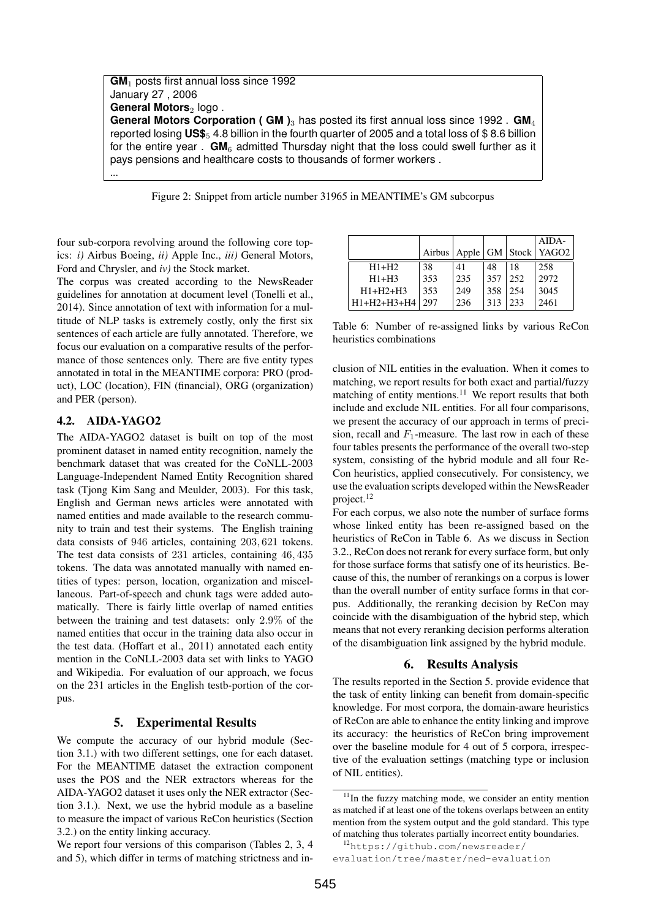**GM**<sup>1</sup> posts first annual loss since 1992 January 27 , 2006 **General Motors**<sub>2</sub> logo. **General Motors Corporation ( GM )**<sup>3</sup> has posted its first annual loss since 1992 . **GM**<sup>4</sup> reported losing **US\$**<sup>5</sup> 4.8 billion in the fourth quarter of 2005 and a total loss of \$ 8.6 billion for the entire year.  $GM<sub>6</sub>$  admitted Thursday night that the loss could swell further as it pays pensions and healthcare costs to thousands of former workers . ...

Figure 2: Snippet from article number 31965 in MEANTIME's GM subcorpus

four sub-corpora revolving around the following core topics: *i)* Airbus Boeing, *ii)* Apple Inc., *iii)* General Motors, Ford and Chrysler, and *iv)* the Stock market.

The corpus was created according to the NewsReader guidelines for annotation at document level (Tonelli et al., 2014). Since annotation of text with information for a multitude of NLP tasks is extremely costly, only the first six sentences of each article are fully annotated. Therefore, we focus our evaluation on a comparative results of the performance of those sentences only. There are five entity types annotated in total in the MEANTIME corpora: PRO (product), LOC (location), FIN (financial), ORG (organization) and PER (person).

# 4.2. AIDA-YAGO2

The AIDA-YAGO2 dataset is built on top of the most prominent dataset in named entity recognition, namely the benchmark dataset that was created for the CoNLL-2003 Language-Independent Named Entity Recognition shared task (Tjong Kim Sang and Meulder, 2003). For this task, English and German news articles were annotated with named entities and made available to the research community to train and test their systems. The English training data consists of 946 articles, containing 203, 621 tokens. The test data consists of 231 articles, containing 46, 435 tokens. The data was annotated manually with named entities of types: person, location, organization and miscellaneous. Part-of-speech and chunk tags were added automatically. There is fairly little overlap of named entities between the training and test datasets: only 2.9% of the named entities that occur in the training data also occur in the test data. (Hoffart et al., 2011) annotated each entity mention in the CoNLL-2003 data set with links to YAGO and Wikipedia. For evaluation of our approach, we focus on the 231 articles in the English testb-portion of the corpus.

#### 5. Experimental Results

We compute the accuracy of our hybrid module (Section 3.1.) with two different settings, one for each dataset. For the MEANTIME dataset the extraction component uses the POS and the NER extractors whereas for the AIDA-YAGO2 dataset it uses only the NER extractor (Section 3.1.). Next, we use the hybrid module as a baseline to measure the impact of various ReCon heuristics (Section 3.2.) on the entity linking accuracy.

We report four versions of this comparison (Tables 2, 3, 4 and 5), which differ in terms of matching strictness and in-

|               |        |     |     |     | $AIDA-$                    |
|---------------|--------|-----|-----|-----|----------------------------|
|               | Airbus |     |     |     | Apple   GM   Stock   YAGO2 |
| $H1+H2$       | 38     | 41  | 48  | 18  | 258                        |
| $H1+H3$       | 353    | 235 | 357 | 252 | 2972                       |
| $H1+H2+H3$    | 353    | 249 | 358 | 254 | 3045                       |
| $H1+H2+H3+H4$ | 297    | 236 | 313 | 233 | 2461                       |

Table 6: Number of re-assigned links by various ReCon heuristics combinations

clusion of NIL entities in the evaluation. When it comes to matching, we report results for both exact and partial/fuzzy matching of entity mentions.<sup>11</sup> We report results that both include and exclude NIL entities. For all four comparisons, we present the accuracy of our approach in terms of precision, recall and  $F_1$ -measure. The last row in each of these four tables presents the performance of the overall two-step system, consisting of the hybrid module and all four Re-Con heuristics, applied consecutively. For consistency, we use the evaluation scripts developed within the NewsReader project.<sup>12</sup>

For each corpus, we also note the number of surface forms whose linked entity has been re-assigned based on the heuristics of ReCon in Table 6. As we discuss in Section 3.2., ReCon does not rerank for every surface form, but only for those surface forms that satisfy one of its heuristics. Because of this, the number of rerankings on a corpus is lower than the overall number of entity surface forms in that corpus. Additionally, the reranking decision by ReCon may coincide with the disambiguation of the hybrid step, which means that not every reranking decision performs alteration of the disambiguation link assigned by the hybrid module.

# 6. Results Analysis

The results reported in the Section 5. provide evidence that the task of entity linking can benefit from domain-specific knowledge. For most corpora, the domain-aware heuristics of ReCon are able to enhance the entity linking and improve its accuracy: the heuristics of ReCon bring improvement over the baseline module for 4 out of 5 corpora, irrespective of the evaluation settings (matching type or inclusion of NIL entities).

 $11$ In the fuzzy matching mode, we consider an entity mention as matched if at least one of the tokens overlaps between an entity mention from the system output and the gold standard. This type of matching thus tolerates partially incorrect entity boundaries.

<sup>12</sup>https://github.com/newsreader/ evaluation/tree/master/ned-evaluation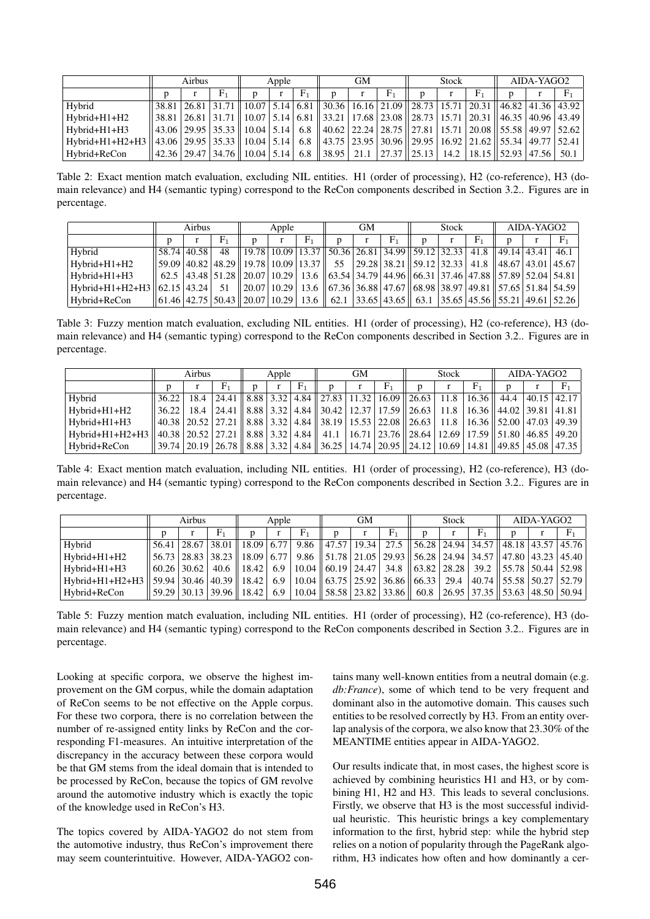|                 | Airbus |  |                                       | Apple |  |                | GМ            |      |  | Stock                                                                                                                   |  |                              | AIDA-YAGO2 |  |                |
|-----------------|--------|--|---------------------------------------|-------|--|----------------|---------------|------|--|-------------------------------------------------------------------------------------------------------------------------|--|------------------------------|------------|--|----------------|
|                 |        |  |                                       |       |  | F <sub>1</sub> |               |      |  |                                                                                                                         |  | F <sub>1</sub>               |            |  | F <sub>1</sub> |
| Hybrid          |        |  |                                       |       |  |                |               |      |  | 38.81 26.81 31.71 10.07 5.14 6.81 30.36 16.16 21.09 28.73 15.71 20.31 46.82 41.36 43.92                                 |  |                              |            |  |                |
| Hybrid+H1+H2    |        |  |                                       |       |  |                |               |      |  | 38.81   26.81   31.71    10.07   5.14   6.81    33.21   17.68   23.08    28.73   15.71   20.31    46.35   40.96   43.49 |  |                              |            |  |                |
| $Hvbrid+H1+H3$  |        |  |                                       |       |  |                |               |      |  | 43.06   29.95   35.33    10.04   5.14   6.8    40.62   22.24   28.75    27.81   15.71   20.08    55.58   49.97   52.62  |  |                              |            |  |                |
| Hybrid+H1+H2+H3 |        |  | 43.06   29.95   35.33   10.04   5.14  |       |  |                |               |      |  | 6.8    43.75   23.95   30.96    29.95   16.92   21.62    55.34   49.77   52.41                                          |  |                              |            |  |                |
| Hybrid+ReCon    |        |  | 42.36   29.47   34.76    10.04   5.14 |       |  |                | 6.8 $ 38.95 $ | 21.1 |  | $ 27.37 $ $ 25.13 $                                                                                                     |  | 14.2   18.15   52.93   47.56 |            |  | 50.1           |

Table 2: Exact mention match evaluation, excluding NIL entities. H1 (order of processing), H2 (co-reference), H3 (domain relevance) and H4 (semantic typing) correspond to the ReCon components described in Section 3.2.. Figures are in percentage.

|                                     | Airbus      |  |                | Apple                                                                                                                                                                                                                     |  |    | GМ |  |             |   | <b>Stock</b> |             | AIDA-YAGO2 |  |                |
|-------------------------------------|-------------|--|----------------|---------------------------------------------------------------------------------------------------------------------------------------------------------------------------------------------------------------------------|--|----|----|--|-------------|---|--------------|-------------|------------|--|----------------|
|                                     |             |  | F <sub>1</sub> |                                                                                                                                                                                                                           |  | F1 |    |  | ${\rm F}_1$ | n |              | ${\rm F}_1$ |            |  | F <sub>1</sub> |
| Hybrid                              | 58.74 40.58 |  | 48             | $\parallel$ 19.78   10.09   13.37    50.36   26.81   34.99    59.12   32.33   41.8    49.14   43.41   46.1                                                                                                                |  |    |    |  |             |   |              |             |            |  |                |
| $Hvbrid+H1+H2$                      |             |  |                | 59.09   40.82   48.29    19.78   10.09   13.37        55       29.28   38.21    59.12   32.33     41.8    48.67   43.01   45.67                                                                                           |  |    |    |  |             |   |              |             |            |  |                |
| $Hvbrid+H1+H3$                      |             |  |                | 62.5   43.48   51.28    20.07   10.29   13.6    63.54   34.79   44.96    66.31   37.46   47.88    57.89   52.04   54.81                                                                                                   |  |    |    |  |             |   |              |             |            |  |                |
| Hybrid+H1+H2+H3 $  62.15   43.24  $ |             |  | -51            | $\ 20.07\ 10.29\ 13.6\ 67.36\ 36.88\ 47.67\ 68.98\ 38.97\ 49.81\ 57.65\ 51.84\ 54.59\ $                                                                                                                                   |  |    |    |  |             |   |              |             |            |  |                |
| Hybrid+ReCon                        |             |  |                | $\left  \frac{61.46}{42.75} \right $ 50.43 $\left  \frac{20.07}{10.29} \right $ 13.6 $\left  \frac{62.1}{33.65} \right $ 43.65 $\left  \frac{63.1}{35.65} \right $ 55.65 $\left  \frac{45.56}{55.21} \right $ 49.61 52.26 |  |    |    |  |             |   |              |             |            |  |                |

Table 3: Fuzzy mention match evaluation, excluding NIL entities. H1 (order of processing), H2 (co-reference), H3 (domain relevance) and H4 (semantic typing) correspond to the ReCon components described in Section 3.2.. Figures are in percentage.

|                 | Airbus                                                                                                                                                                                                        |      |                                                                                        | Apple |  |                | GМ |              |                                                                                                                         | <b>Stock</b> |                | AIDA-YAGO2                    |  |             |
|-----------------|---------------------------------------------------------------------------------------------------------------------------------------------------------------------------------------------------------------|------|----------------------------------------------------------------------------------------|-------|--|----------------|----|--------------|-------------------------------------------------------------------------------------------------------------------------|--------------|----------------|-------------------------------|--|-------------|
|                 |                                                                                                                                                                                                               |      | ${\rm F}_1$                                                                            |       |  | F <sub>1</sub> | n  | $\mathbf{r}$ | F <sub>1</sub>                                                                                                          |              | F <sub>1</sub> | n                             |  | ${\rm F}_1$ |
| Hybrid          | 36.22                                                                                                                                                                                                         | 18.4 |                                                                                        |       |  |                |    |              | 24.41   8.88   3.32   4.84   27.83   11.32   16.09   26.63   11.8                                                       |              | 16.36          | 44.4                          |  | 40.15 42.17 |
| Hybrid+H1+H2    | 36.22                                                                                                                                                                                                         | 18.4 |                                                                                        |       |  |                |    |              | $\mid$ 24.41 $\mid$ 8.88 $\mid$ 3.32 $\mid$ 4.84 $\mid$ 30.42 $\mid$ 12.37 $\mid$ 17.59 $\mid$ 26.63 $\mid$ 11.8 $\mid$ |              |                | 16.36   44.02   39.81   41.81 |  |             |
| Hybrid+H1+H3    | $\parallel$ 40.38 $\parallel$ 20.52 $\parallel$ 27.21 $\parallel$ 8.88 $\parallel$ 3.32 $\parallel$ 4.84 $\parallel$ 38.19 $\parallel$ 15.53 $\parallel$ 22.08 $\parallel$ 26.63 $\parallel$ 11.8 $\parallel$ |      |                                                                                        |       |  |                |    |              |                                                                                                                         |              |                | 16.36   52.00   47.03   49.39 |  |             |
| Hybrid+H1+H2+H3 |                                                                                                                                                                                                               |      | 40.38 20.52 27.21 8.88 3.32 4.84 4.1.1 16.71 23.76 28.64 12.69 17.59 51.80 46.85 49.20 |       |  |                |    |              |                                                                                                                         |              |                |                               |  |             |
| Hybrid+ReCon    | $\mid$ 39.74 $\mid$ 20.19 $\mid$ 26.78 $\mid$ 8.88 $\mid$ 3.32 $\mid$ 4.84 $\mid$ 36.25 $\mid$ 14.74 $\mid$ 20.95 $\mid$ 24.12 $\mid$ 10.69 $\mid$ 14.81 $\mid$ 49.85 $\mid$ 45.08 $\mid$ 47.35               |      |                                                                                        |       |  |                |    |              |                                                                                                                         |              |                |                               |  |             |

Table 4: Exact mention match evaluation, including NIL entities. H1 (order of processing), H2 (co-reference), H3 (domain relevance) and H4 (semantic typing) correspond to the ReCon components described in Section 3.2.. Figures are in percentage.

|                 | Airbus        |  |                                 | Apple |                  |       | GМ |  |                                                                   | <b>Stock</b> |  |            | AIDA-YAGO2                                                                                                              |  |       |
|-----------------|---------------|--|---------------------------------|-------|------------------|-------|----|--|-------------------------------------------------------------------|--------------|--|------------|-------------------------------------------------------------------------------------------------------------------------|--|-------|
|                 |               |  | ${\rm F}_1$                     |       |                  | $F_1$ |    |  | ${\rm F}_1$                                                       | n            |  | $\rm{F}_1$ |                                                                                                                         |  | $F_1$ |
| Hybrid          | 56.41         |  |                                 |       |                  |       |    |  |                                                                   |              |  |            | $\mid$ 28.67   38.01    18.09   6.77   9.86    47.57   19.34   27.5    56.28   24.94   34.57    48.18   43.57   45.76   |  |       |
| Hybrid+H1+H2    |               |  |                                 |       |                  |       |    |  |                                                                   |              |  |            | 56.73   28.83   38.23    18.09   6.77   9.86    51.78   21.05   29.93    56.28   24.94   34.57    47.80   43.23   45.40 |  |       |
| Hybrid+H1+H3    | $60.26$ 30.62 |  |                                 |       |                  |       |    |  |                                                                   |              |  |            | 40.6    18.42    6.9    10.04    60.19    24.47    34.8    63.82    28.28    39.2    55.78    50.44    52.98            |  |       |
| Hybrid+H1+H2+H3 |               |  |                                 |       |                  |       |    |  |                                                                   |              |  |            | 59.94   30.46   40.39    18.42   6.9   10.04    63.75   25.92   36.86    66.33   29.4   40.74    55.58   50.27   52.79  |  |       |
| Hybrid+ReCon    |               |  | $59.29$   30.13   39.96   18.42 |       | 6.9 <sup>1</sup> |       |    |  | $10.04 \parallel 58.58 \parallel 23.82 \parallel 33.86 \parallel$ |              |  |            | 60.8 26.95 37.35 53.63 48.50 50.94                                                                                      |  |       |

Table 5: Fuzzy mention match evaluation, including NIL entities. H1 (order of processing), H2 (co-reference), H3 (domain relevance) and H4 (semantic typing) correspond to the ReCon components described in Section 3.2.. Figures are in percentage.

Looking at specific corpora, we observe the highest improvement on the GM corpus, while the domain adaptation of ReCon seems to be not effective on the Apple corpus. For these two corpora, there is no correlation between the number of re-assigned entity links by ReCon and the corresponding F1-measures. An intuitive interpretation of the discrepancy in the accuracy between these corpora would be that GM stems from the ideal domain that is intended to be processed by ReCon, because the topics of GM revolve around the automotive industry which is exactly the topic of the knowledge used in ReCon's H3.

The topics covered by AIDA-YAGO2 do not stem from the automotive industry, thus ReCon's improvement there may seem counterintuitive. However, AIDA-YAGO2 contains many well-known entities from a neutral domain (e.g. *db:France*), some of which tend to be very frequent and dominant also in the automotive domain. This causes such entities to be resolved correctly by H3. From an entity overlap analysis of the corpora, we also know that 23.30% of the MEANTIME entities appear in AIDA-YAGO2.

Our results indicate that, in most cases, the highest score is achieved by combining heuristics H1 and H3, or by combining H1, H2 and H3. This leads to several conclusions. Firstly, we observe that H3 is the most successful individual heuristic. This heuristic brings a key complementary information to the first, hybrid step: while the hybrid step relies on a notion of popularity through the PageRank algorithm, H3 indicates how often and how dominantly a cer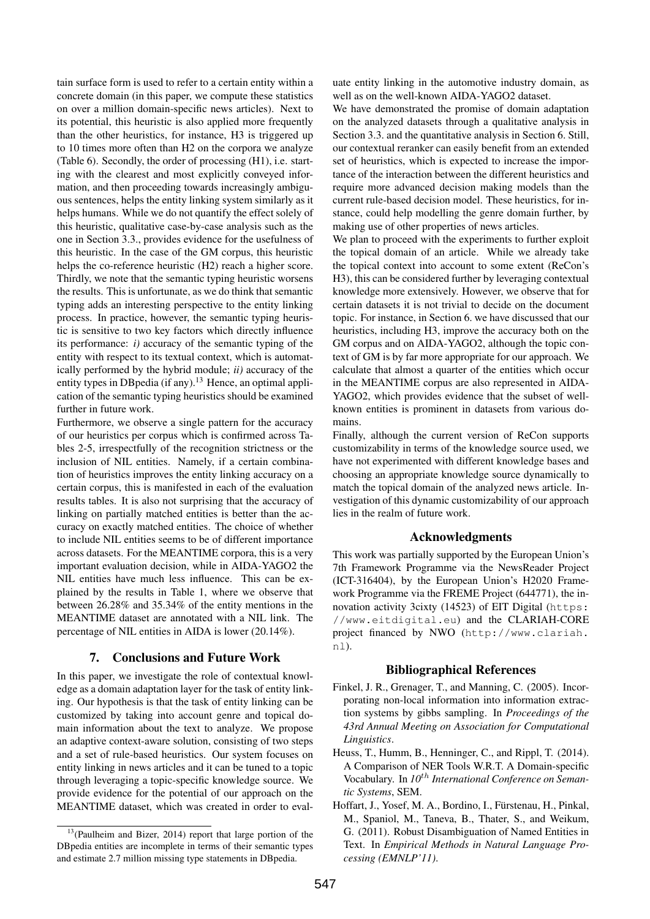tain surface form is used to refer to a certain entity within a concrete domain (in this paper, we compute these statistics on over a million domain-specific news articles). Next to its potential, this heuristic is also applied more frequently than the other heuristics, for instance, H3 is triggered up to 10 times more often than H2 on the corpora we analyze (Table 6). Secondly, the order of processing (H1), i.e. starting with the clearest and most explicitly conveyed information, and then proceeding towards increasingly ambiguous sentences, helps the entity linking system similarly as it helps humans. While we do not quantify the effect solely of this heuristic, qualitative case-by-case analysis such as the one in Section 3.3., provides evidence for the usefulness of this heuristic. In the case of the GM corpus, this heuristic helps the co-reference heuristic (H2) reach a higher score. Thirdly, we note that the semantic typing heuristic worsens the results. This is unfortunate, as we do think that semantic typing adds an interesting perspective to the entity linking process. In practice, however, the semantic typing heuristic is sensitive to two key factors which directly influence its performance: *i)* accuracy of the semantic typing of the entity with respect to its textual context, which is automatically performed by the hybrid module; *ii)* accuracy of the entity types in DB pedia (if any).<sup>13</sup> Hence, an optimal application of the semantic typing heuristics should be examined further in future work.

Furthermore, we observe a single pattern for the accuracy of our heuristics per corpus which is confirmed across Tables 2-5, irrespectfully of the recognition strictness or the inclusion of NIL entities. Namely, if a certain combination of heuristics improves the entity linking accuracy on a certain corpus, this is manifested in each of the evaluation results tables. It is also not surprising that the accuracy of linking on partially matched entities is better than the accuracy on exactly matched entities. The choice of whether to include NIL entities seems to be of different importance across datasets. For the MEANTIME corpora, this is a very important evaluation decision, while in AIDA-YAGO2 the NIL entities have much less influence. This can be explained by the results in Table 1, where we observe that between 26.28% and 35.34% of the entity mentions in the MEANTIME dataset are annotated with a NIL link. The percentage of NIL entities in AIDA is lower (20.14%).

# 7. Conclusions and Future Work

In this paper, we investigate the role of contextual knowledge as a domain adaptation layer for the task of entity linking. Our hypothesis is that the task of entity linking can be customized by taking into account genre and topical domain information about the text to analyze. We propose an adaptive context-aware solution, consisting of two steps and a set of rule-based heuristics. Our system focuses on entity linking in news articles and it can be tuned to a topic through leveraging a topic-specific knowledge source. We provide evidence for the potential of our approach on the MEANTIME dataset, which was created in order to evaluate entity linking in the automotive industry domain, as well as on the well-known AIDA-YAGO2 dataset.

We have demonstrated the promise of domain adaptation on the analyzed datasets through a qualitative analysis in Section 3.3. and the quantitative analysis in Section 6. Still, our contextual reranker can easily benefit from an extended set of heuristics, which is expected to increase the importance of the interaction between the different heuristics and require more advanced decision making models than the current rule-based decision model. These heuristics, for instance, could help modelling the genre domain further, by making use of other properties of news articles.

We plan to proceed with the experiments to further exploit the topical domain of an article. While we already take the topical context into account to some extent (ReCon's H3), this can be considered further by leveraging contextual knowledge more extensively. However, we observe that for certain datasets it is not trivial to decide on the document topic. For instance, in Section 6. we have discussed that our heuristics, including H3, improve the accuracy both on the GM corpus and on AIDA-YAGO2, although the topic context of GM is by far more appropriate for our approach. We calculate that almost a quarter of the entities which occur in the MEANTIME corpus are also represented in AIDA-YAGO2, which provides evidence that the subset of wellknown entities is prominent in datasets from various domains.

Finally, although the current version of ReCon supports customizability in terms of the knowledge source used, we have not experimented with different knowledge bases and choosing an appropriate knowledge source dynamically to match the topical domain of the analyzed news article. Investigation of this dynamic customizability of our approach lies in the realm of future work.

#### Acknowledgments

This work was partially supported by the European Union's 7th Framework Programme via the NewsReader Project (ICT-316404), by the European Union's H2020 Framework Programme via the FREME Project (644771), the innovation activity 3cixty (14523) of EIT Digital (https: //www.eitdigital.eu) and the CLARIAH-CORE project financed by NWO (http://www.clariah. nl).

#### Bibliographical References

- Finkel, J. R., Grenager, T., and Manning, C. (2005). Incorporating non-local information into information extraction systems by gibbs sampling. In *Proceedings of the 43rd Annual Meeting on Association for Computational Linguistics*.
- Heuss, T., Humm, B., Henninger, C., and Rippl, T. (2014). A Comparison of NER Tools W.R.T. A Domain-specific Vocabulary. In *10*th *International Conference on Semantic Systems*, SEM.
- Hoffart, J., Yosef, M. A., Bordino, I., Fürstenau, H., Pinkal, M., Spaniol, M., Taneva, B., Thater, S., and Weikum, G. (2011). Robust Disambiguation of Named Entities in Text. In *Empirical Methods in Natural Language Processing (EMNLP'11)*.

 $13$ (Paulheim and Bizer, 2014) report that large portion of the DBpedia entities are incomplete in terms of their semantic types and estimate 2.7 million missing type statements in DBpedia.